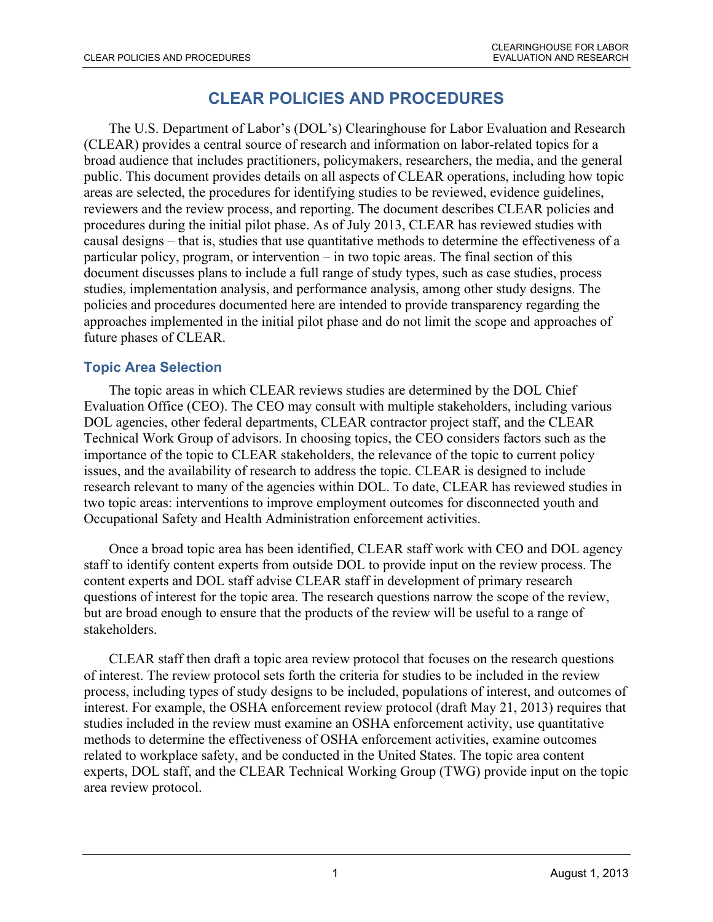# **CLEAR POLICIES AND PROCEDURES**

The U.S. Department of Labor's (DOL's) Clearinghouse for Labor Evaluation and Research (CLEAR) provides a central source of research and information on labor-related topics for a broad audience that includes practitioners, policymakers, researchers, the media, and the general public. This document provides details on all aspects of CLEAR operations, including how topic areas are selected, the procedures for identifying studies to be reviewed, evidence guidelines, reviewers and the review process, and reporting. The document describes CLEAR policies and procedures during the initial pilot phase. As of July 2013, CLEAR has reviewed studies with causal designs – that is, studies that use quantitative methods to determine the effectiveness of a particular policy, program, or intervention – in two topic areas. The final section of this document discusses plans to include a full range of study types, such as case studies, process studies, implementation analysis, and performance analysis, among other study designs. The policies and procedures documented here are intended to provide transparency regarding the approaches implemented in the initial pilot phase and do not limit the scope and approaches of future phases of CLEAR.

## **Topic Area Selection**

The topic areas in which CLEAR reviews studies are determined by the DOL Chief Evaluation Office (CEO). The CEO may consult with multiple stakeholders, including various DOL agencies, other federal departments, CLEAR contractor project staff, and the CLEAR Technical Work Group of advisors. In choosing topics, the CEO considers factors such as the importance of the topic to CLEAR stakeholders, the relevance of the topic to current policy issues, and the availability of research to address the topic. CLEAR is designed to include research relevant to many of the agencies within DOL. To date, CLEAR has reviewed studies in two topic areas: interventions to improve employment outcomes for disconnected youth and Occupational Safety and Health Administration enforcement activities.

Once a broad topic area has been identified, CLEAR staff work with CEO and DOL agency staff to identify content experts from outside DOL to provide input on the review process. The content experts and DOL staff advise CLEAR staff in development of primary research questions of interest for the topic area. The research questions narrow the scope of the review, but are broad enough to ensure that the products of the review will be useful to a range of stakeholders.

CLEAR staff then draft a topic area review protocol that focuses on the research questions of interest. The review protocol sets forth the criteria for studies to be included in the review process, including types of study designs to be included, populations of interest, and outcomes of interest. For example, the OSHA enforcement review protocol (draft May 21, 2013) requires that studies included in the review must examine an OSHA enforcement activity, use quantitative methods to determine the effectiveness of OSHA enforcement activities, examine outcomes related to workplace safety, and be conducted in the United States. The topic area content experts, DOL staff, and the CLEAR Technical Working Group (TWG) provide input on the topic area review protocol.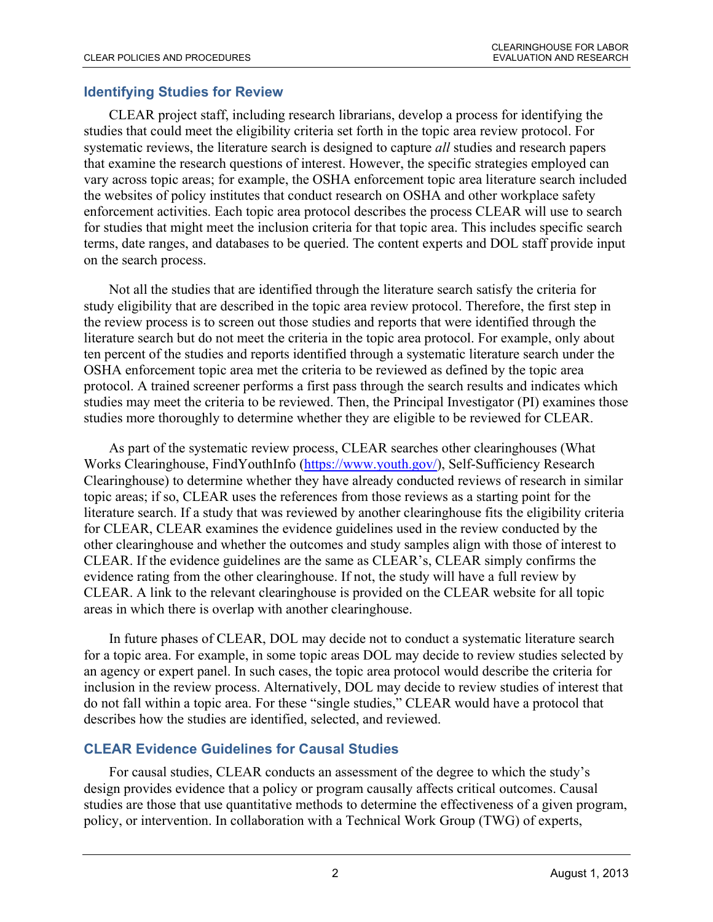#### **Identifying Studies for Review**

CLEAR project staff, including research librarians, develop a process for identifying the studies that could meet the eligibility criteria set forth in the topic area review protocol. For systematic reviews, the literature search is designed to capture *all* studies and research papers that examine the research questions of interest. However, the specific strategies employed can vary across topic areas; for example, the OSHA enforcement topic area literature search included the websites of policy institutes that conduct research on OSHA and other workplace safety enforcement activities. Each topic area protocol describes the process CLEAR will use to search for studies that might meet the inclusion criteria for that topic area. This includes specific search terms, date ranges, and databases to be queried. The content experts and DOL staff provide input on the search process.

Not all the studies that are identified through the literature search satisfy the criteria for study eligibility that are described in the topic area review protocol. Therefore, the first step in the review process is to screen out those studies and reports that were identified through the literature search but do not meet the criteria in the topic area protocol. For example, only about ten percent of the studies and reports identified through a systematic literature search under the OSHA enforcement topic area met the criteria to be reviewed as defined by the topic area protocol. A trained screener performs a first pass through the search results and indicates which studies may meet the criteria to be reviewed. Then, the Principal Investigator (PI) examines those studies more thoroughly to determine whether they are eligible to be reviewed for CLEAR.

As part of the systematic review process, CLEAR searches other clearinghouses (What Works Clearinghouse, FindYouthInfo [\(https://www.youth.gov/\)](https://www.youth.gov/), Self-Sufficiency Research Clearinghouse) to determine whether they have already conducted reviews of research in similar topic areas; if so, CLEAR uses the references from those reviews as a starting point for the literature search. If a study that was reviewed by another clearinghouse fits the eligibility criteria for CLEAR, CLEAR examines the evidence guidelines used in the review conducted by the other clearinghouse and whether the outcomes and study samples align with those of interest to CLEAR. If the evidence guidelines are the same as CLEAR's, CLEAR simply confirms the evidence rating from the other clearinghouse. If not, the study will have a full review by CLEAR. A link to the relevant clearinghouse is provided on the CLEAR website for all topic areas in which there is overlap with another clearinghouse.

In future phases of CLEAR, DOL may decide not to conduct a systematic literature search for a topic area. For example, in some topic areas DOL may decide to review studies selected by an agency or expert panel. In such cases, the topic area protocol would describe the criteria for inclusion in the review process. Alternatively, DOL may decide to review studies of interest that do not fall within a topic area. For these "single studies," CLEAR would have a protocol that describes how the studies are identified, selected, and reviewed.

#### **CLEAR Evidence Guidelines for Causal Studies**

For causal studies, CLEAR conducts an assessment of the degree to which the study's design provides evidence that a policy or program causally affects critical outcomes. Causal studies are those that use quantitative methods to determine the effectiveness of a given program, policy, or intervention. In collaboration with a Technical Work Group (TWG) of experts,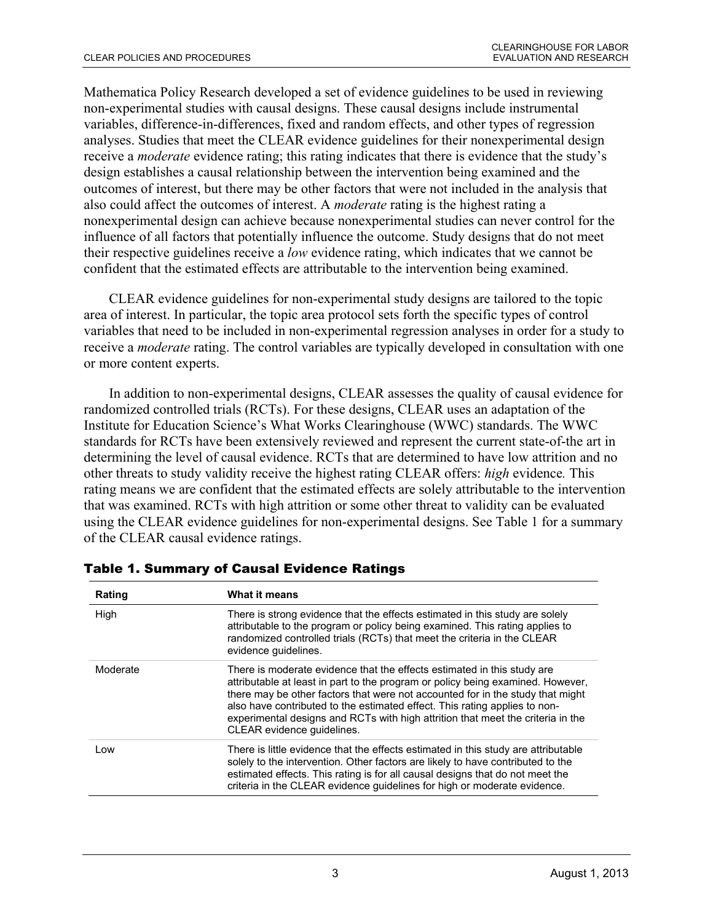Mathematica Policy Research developed a set of evidence guidelines to be used in reviewing non-experimental studies with causal designs. These causal designs include instrumental variables, difference-in-differences, fixed and random effects, and other types of regression analyses. Studies that meet the CLEAR evidence guidelines for their nonexperimental design receive a *moderate* evidence rating; this rating indicates that there is evidence that the study's design establishes a causal relationship between the intervention being examined and the outcomes of interest, but there may be other factors that were not included in the analysis that also could affect the outcomes of interest. A *moderate* rating is the highest rating a nonexperimental design can achieve because nonexperimental studies can never control for the influence of all factors that potentially influence the outcome. Study designs that do not meet their respective guidelines receive a *low* evidence rating, which indicates that we cannot be confident that the estimated effects are attributable to the intervention being examined.

CLEAR evidence guidelines for non-experimental study designs are tailored to the topic area of interest. In particular, the topic area protocol sets forth the specific types of control variables that need to be included in non-experimental regression analyses in order for a study to receive a *moderate* rating. The control variables are typically developed in consultation with one or more content experts.

In addition to non-experimental designs, CLEAR assesses the quality of causal evidence for randomized controlled trials (RCTs). For these designs, CLEAR uses an adaptation of the Institute for Education Science's What Works Clearinghouse (WWC) standards. The WWC standards for RCTs have been extensively reviewed and represent the current state-of-the art in determining the level of causal evidence. RCTs that are determined to have low attrition and no other threats to study validity receive the highest rating CLEAR offers: *high* evidence*.* This rating means we are confident that the estimated effects are solely attributable to the intervention that was examined. RCTs with high attrition or some other threat to validity can be evaluated using the CLEAR evidence guidelines for non-experimental designs. See Table 1 for a summary of the CLEAR causal evidence ratings.

| Rating   | <b>What it means</b>                                                                                                                                                                                                                                                                                                                                                                                                                        |
|----------|---------------------------------------------------------------------------------------------------------------------------------------------------------------------------------------------------------------------------------------------------------------------------------------------------------------------------------------------------------------------------------------------------------------------------------------------|
| High     | There is strong evidence that the effects estimated in this study are solely<br>attributable to the program or policy being examined. This rating applies to<br>randomized controlled trials (RCTs) that meet the criteria in the CLEAR<br>evidence quidelines.                                                                                                                                                                             |
| Moderate | There is moderate evidence that the effects estimated in this study are<br>attributable at least in part to the program or policy being examined. However,<br>there may be other factors that were not accounted for in the study that might<br>also have contributed to the estimated effect. This rating applies to non-<br>experimental designs and RCTs with high attrition that meet the criteria in the<br>CLEAR evidence guidelines. |
| Low      | There is little evidence that the effects estimated in this study are attributable<br>solely to the intervention. Other factors are likely to have contributed to the<br>estimated effects. This rating is for all causal designs that do not meet the<br>criteria in the CLEAR evidence guidelines for high or moderate evidence.                                                                                                          |

Table 1. Summary of Causal Evidence Ratings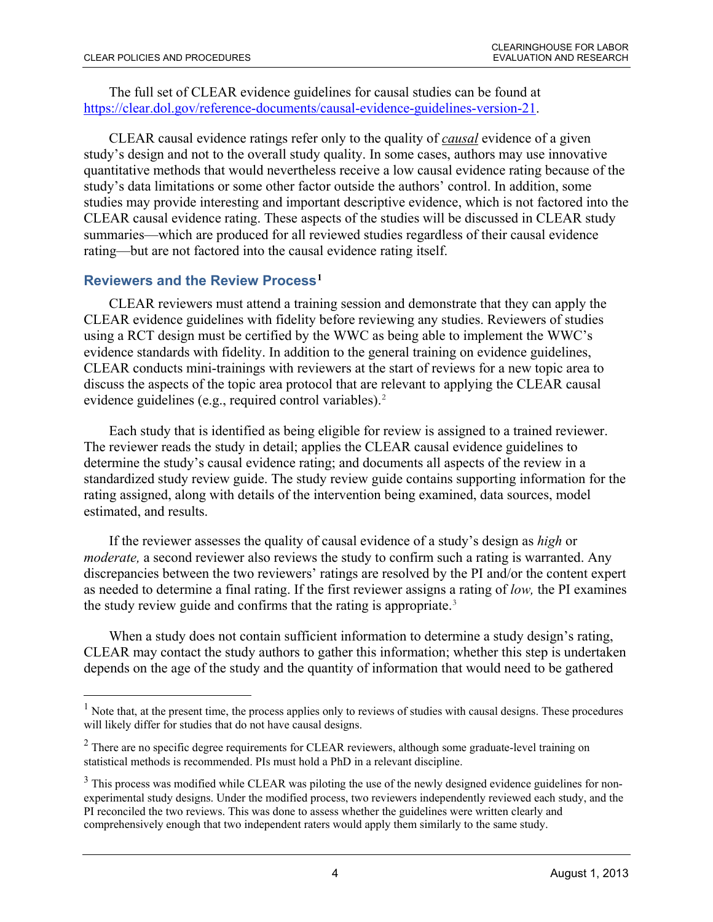The full set of CLEAR evidence guidelines for causal studies can be found at [https://clear.dol.gov/reference-documents/causal-evidence-guidelines-version-21.](https://clear.dol.gov/reference-documents/causal-evidence-guidelines-version-21)

CLEAR causal evidence ratings refer only to the quality of *causal* evidence of a given study's design and not to the overall study quality. In some cases, authors may use innovative quantitative methods that would nevertheless receive a low causal evidence rating because of the study's data limitations or some other factor outside the authors' control. In addition, some studies may provide interesting and important descriptive evidence, which is not factored into the CLEAR causal evidence rating. These aspects of the studies will be discussed in CLEAR study summaries—which are produced for all reviewed studies regardless of their causal evidence rating—but are not factored into the causal evidence rating itself.

## **Reviewers and the Review Process[1](#page-3-0)**

 $\overline{a}$ 

CLEAR reviewers must attend a training session and demonstrate that they can apply the CLEAR evidence guidelines with fidelity before reviewing any studies. Reviewers of studies using a RCT design must be certified by the WWC as being able to implement the WWC's evidence standards with fidelity. In addition to the general training on evidence guidelines, CLEAR conducts mini-trainings with reviewers at the start of reviews for a new topic area to discuss the aspects of the topic area protocol that are relevant to applying the CLEAR causal evidence guidelines (e.g., required control variables).<sup>[2](#page-3-1)</sup>

Each study that is identified as being eligible for review is assigned to a trained reviewer. The reviewer reads the study in detail; applies the CLEAR causal evidence guidelines to determine the study's causal evidence rating; and documents all aspects of the review in a standardized study review guide. The study review guide contains supporting information for the rating assigned, along with details of the intervention being examined, data sources, model estimated, and results.

If the reviewer assesses the quality of causal evidence of a study's design as *high* or *moderate*, a second reviewer also reviews the study to confirm such a rating is warranted. Any discrepancies between the two reviewers' ratings are resolved by the PI and/or the content expert as needed to determine a final rating. If the first reviewer assigns a rating of *low,* the PI examines the study review guide and confirms that the rating is appropriate.<sup>[3](#page-3-2)</sup>

When a study does not contain sufficient information to determine a study design's rating, CLEAR may contact the study authors to gather this information; whether this step is undertaken depends on the age of the study and the quantity of information that would need to be gathered

<span id="page-3-0"></span><sup>&</sup>lt;sup>1</sup> Note that, at the present time, the process applies only to reviews of studies with causal designs. These procedures will likely differ for studies that do not have causal designs.

<span id="page-3-1"></span> $2$  There are no specific degree requirements for CLEAR reviewers, although some graduate-level training on statistical methods is recommended. PIs must hold a PhD in a relevant discipline.

<span id="page-3-2"></span> $3$  This process was modified while CLEAR was piloting the use of the newly designed evidence guidelines for nonexperimental study designs. Under the modified process, two reviewers independently reviewed each study, and the PI reconciled the two reviews. This was done to assess whether the guidelines were written clearly and comprehensively enough that two independent raters would apply them similarly to the same study.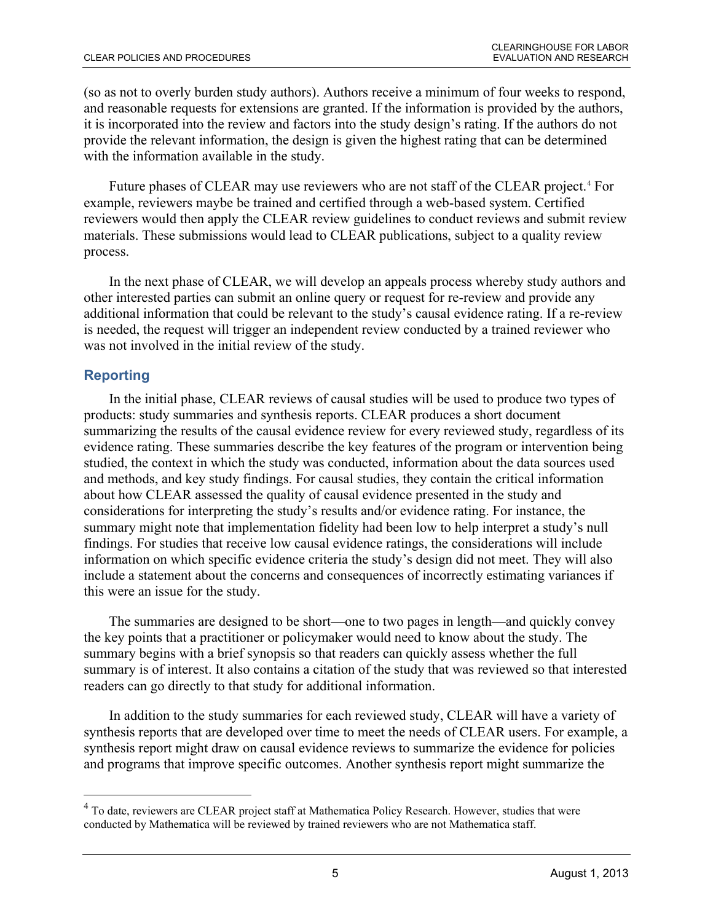(so as not to overly burden study authors). Authors receive a minimum of four weeks to respond, and reasonable requests for extensions are granted. If the information is provided by the authors, it is incorporated into the review and factors into the study design's rating. If the authors do not provide the relevant information, the design is given the highest rating that can be determined with the information available in the study.

Future phases of CLEAR may use reviewers who are not staff of the CLEAR project.<sup>[4](#page-4-0)</sup> For example, reviewers maybe be trained and certified through a web-based system. Certified reviewers would then apply the CLEAR review guidelines to conduct reviews and submit review materials. These submissions would lead to CLEAR publications, subject to a quality review process.

In the next phase of CLEAR, we will develop an appeals process whereby study authors and other interested parties can submit an online query or request for re-review and provide any additional information that could be relevant to the study's causal evidence rating. If a re-review is needed, the request will trigger an independent review conducted by a trained reviewer who was not involved in the initial review of the study.

# **Reporting**

 $\overline{a}$ 

In the initial phase, CLEAR reviews of causal studies will be used to produce two types of products: study summaries and synthesis reports. CLEAR produces a short document summarizing the results of the causal evidence review for every reviewed study, regardless of its evidence rating. These summaries describe the key features of the program or intervention being studied, the context in which the study was conducted, information about the data sources used and methods, and key study findings. For causal studies, they contain the critical information about how CLEAR assessed the quality of causal evidence presented in the study and considerations for interpreting the study's results and/or evidence rating. For instance, the summary might note that implementation fidelity had been low to help interpret a study's null findings. For studies that receive low causal evidence ratings, the considerations will include information on which specific evidence criteria the study's design did not meet. They will also include a statement about the concerns and consequences of incorrectly estimating variances if this were an issue for the study.

The summaries are designed to be short—one to two pages in length—and quickly convey the key points that a practitioner or policymaker would need to know about the study. The summary begins with a brief synopsis so that readers can quickly assess whether the full summary is of interest. It also contains a citation of the study that was reviewed so that interested readers can go directly to that study for additional information.

In addition to the study summaries for each reviewed study, CLEAR will have a variety of synthesis reports that are developed over time to meet the needs of CLEAR users. For example, a synthesis report might draw on causal evidence reviews to summarize the evidence for policies and programs that improve specific outcomes. Another synthesis report might summarize the

<span id="page-4-0"></span><sup>&</sup>lt;sup>4</sup> To date, reviewers are CLEAR project staff at Mathematica Policy Research. However, studies that were conducted by Mathematica will be reviewed by trained reviewers who are not Mathematica staff.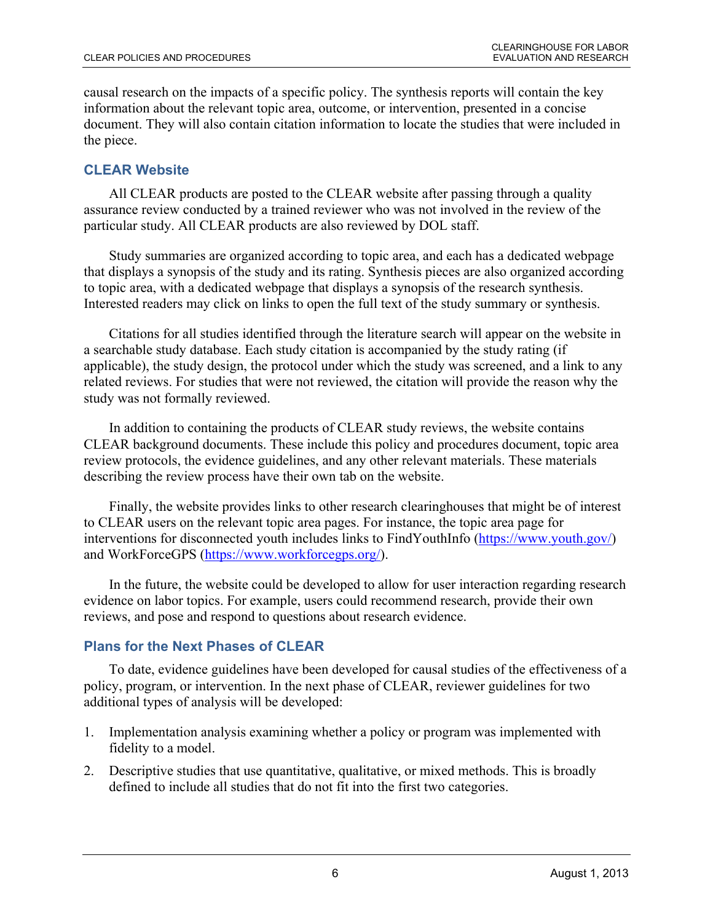causal research on the impacts of a specific policy. The synthesis reports will contain the key information about the relevant topic area, outcome, or intervention, presented in a concise document. They will also contain citation information to locate the studies that were included in the piece.

## **CLEAR Website**

All CLEAR products are posted to the CLEAR website after passing through a quality assurance review conducted by a trained reviewer who was not involved in the review of the particular study. All CLEAR products are also reviewed by DOL staff.

Study summaries are organized according to topic area, and each has a dedicated webpage that displays a synopsis of the study and its rating. Synthesis pieces are also organized according to topic area, with a dedicated webpage that displays a synopsis of the research synthesis. Interested readers may click on links to open the full text of the study summary or synthesis.

Citations for all studies identified through the literature search will appear on the website in a searchable study database. Each study citation is accompanied by the study rating (if applicable), the study design, the protocol under which the study was screened, and a link to any related reviews. For studies that were not reviewed, the citation will provide the reason why the study was not formally reviewed.

In addition to containing the products of CLEAR study reviews, the website contains CLEAR background documents. These include this policy and procedures document, topic area review protocols, the evidence guidelines, and any other relevant materials. These materials describing the review process have their own tab on the website.

Finally, the website provides links to other research clearinghouses that might be of interest to CLEAR users on the relevant topic area pages. For instance, the topic area page for interventions for disconnected youth includes links to FindYouthInfo [\(https://www.youth.gov/\)](https://www.youth.gov/) and WorkForceGPS [\(https://www.workforcegps.org/\)](https://www.workforcegps.org/).

In the future, the website could be developed to allow for user interaction regarding research evidence on labor topics. For example, users could recommend research, provide their own reviews, and pose and respond to questions about research evidence.

# **Plans for the Next Phases of CLEAR**

To date, evidence guidelines have been developed for causal studies of the effectiveness of a policy, program, or intervention. In the next phase of CLEAR, reviewer guidelines for two additional types of analysis will be developed:

- 1. Implementation analysis examining whether a policy or program was implemented with fidelity to a model.
- 2. Descriptive studies that use quantitative, qualitative, or mixed methods. This is broadly defined to include all studies that do not fit into the first two categories.